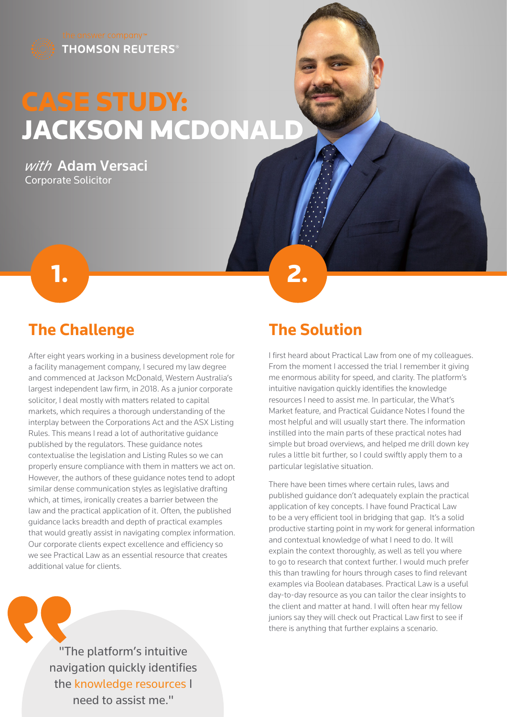

## CASE STUDY: JACKSON MCDONALD

**1. 2. 2.** 

*with* Adam Versaci Corporate Solicitor



After eight years working in a business development role for a facility management company, I secured my law degree and commenced at Jackson McDonald, Western Australia's largest independent law firm, in 2018. As a junior corporate solicitor, I deal mostly with matters related to capital markets, which requires a thorough understanding of the interplay between the Corporations Act and the ASX Listing Rules. This means I read a lot of authoritative guidance published by the regulators. These guidance notes contextualise the legislation and Listing Rules so we can properly ensure compliance with them in matters we act on. However, the authors of these guidance notes tend to adopt similar dense communication styles as legislative drafting which, at times, ironically creates a barrier between the law and the practical application of it. Often, the published guidance lacks breadth and depth of practical examples that would greatly assist in navigating complex information. Our corporate clients expect excellence and efficiency so we see Practical Law as an essential resource that creates additional value for clients.



## **The Solution**

I first heard about Practical Law from one of my colleagues. From the moment I accessed the trial I remember it giving me enormous ability for speed, and clarity. The platform's intuitive navigation quickly identifies the knowledge resources I need to assist me. In particular, the What's Market feature, and Practical Guidance Notes I found the most helpful and will usually start there. The information instilled into the main parts of these practical notes had simple but broad overviews, and helped me drill down key rules a little bit further, so I could swiftly apply them to a particular legislative situation.

There have been times where certain rules, laws and published guidance don't adequately explain the practical application of key concepts. I have found Practical Law to be a very efficient tool in bridging that gap. It's a solid productive starting point in my work for general information and contextual knowledge of what I need to do. It will explain the context thoroughly, as well as tell you where to go to research that context further. I would much prefer this than trawling for hours through cases to find relevant examples via Boolean databases. Practical Law is a useful day-to-day resource as you can tailor the clear insights to the client and matter at hand. I will often hear my fellow juniors say they will check out Practical Law first to see if there is anything that further explains a scenario.